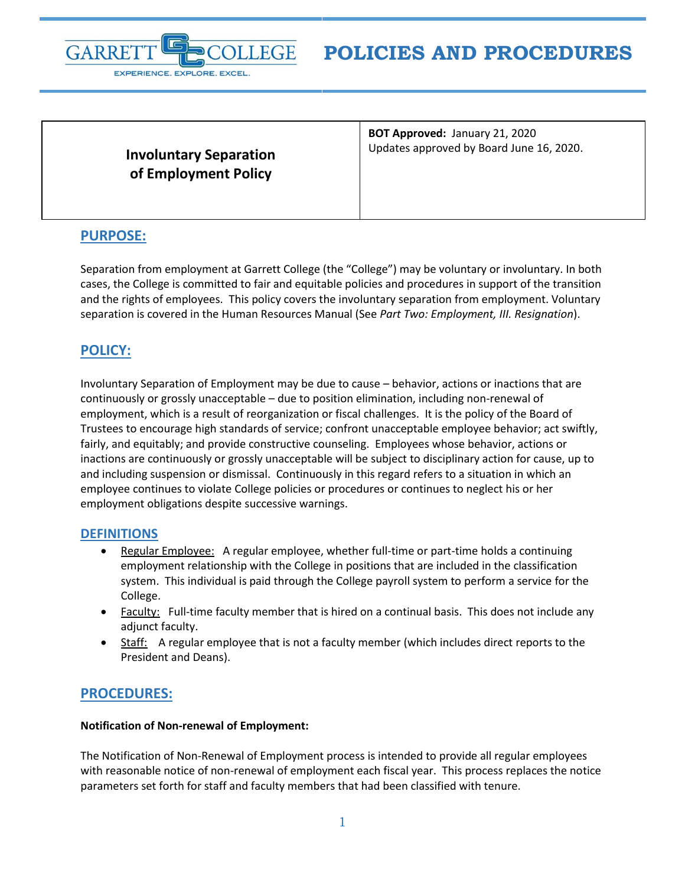

# **POLICIES AND PROCEDURES**

**Involuntary Separation of Employment Policy**

**BOT Approved:** January 21, 2020 Updates approved by Board June 16, 2020.

## **PURPOSE:**

Separation from employment at Garrett College (the "College") may be voluntary or involuntary. In both cases, the College is committed to fair and equitable policies and procedures in support of the transition and the rights of employees. This policy covers the involuntary separation from employment. Voluntary separation is covered in the Human Resources Manual (See *Part Two: Employment, III. Resignation*).

## **POLICY:**

Involuntary Separation of Employment may be due to cause – behavior, actions or inactions that are continuously or grossly unacceptable – due to position elimination, including non-renewal of employment, which is a result of reorganization or fiscal challenges. It is the policy of the Board of Trustees to encourage high standards of service; confront unacceptable employee behavior; act swiftly, fairly, and equitably; and provide constructive counseling. Employees whose behavior, actions or inactions are continuously or grossly unacceptable will be subject to disciplinary action for cause, up to and including suspension or dismissal. Continuously in this regard refers to a situation in which an employee continues to violate College policies or procedures or continues to neglect his or her employment obligations despite successive warnings.

## **DEFINITIONS**

- Regular Employee: A regular employee, whether full-time or part-time holds a continuing employment relationship with the College in positions that are included in the classification system. This individual is paid through the College payroll system to perform a service for the College.
- Faculty: Full-time faculty member that is hired on a continual basis. This does not include any adjunct faculty.
- Staff: A regular employee that is not a faculty member (which includes direct reports to the President and Deans).

## **PROCEDURES:**

### **Notification of Non-renewal of Employment:**

The Notification of Non-Renewal of Employment process is intended to provide all regular employees with reasonable notice of non-renewal of employment each fiscal year. This process replaces the notice parameters set forth for staff and faculty members that had been classified with tenure.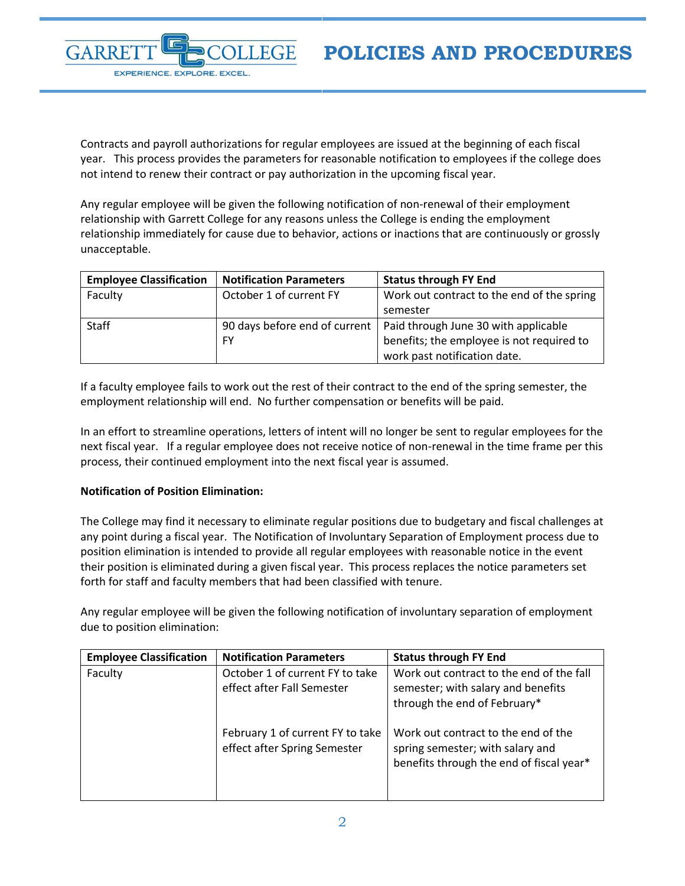

Contracts and payroll authorizations for regular employees are issued at the beginning of each fiscal year. This process provides the parameters for reasonable notification to employees if the college does not intend to renew their contract or pay authorization in the upcoming fiscal year.

Any regular employee will be given the following notification of non-renewal of their employment relationship with Garrett College for any reasons unless the College is ending the employment relationship immediately for cause due to behavior, actions or inactions that are continuously or grossly unacceptable.

| <b>Employee Classification</b> | <b>Notification Parameters</b> | <b>Status through FY End</b>                                         |
|--------------------------------|--------------------------------|----------------------------------------------------------------------|
| Faculty                        | October 1 of current FY        | Work out contract to the end of the spring                           |
|                                |                                | semester                                                             |
| Staff                          |                                | 90 days before end of current   Paid through June 30 with applicable |
|                                | <b>FY</b>                      | benefits; the employee is not required to                            |
|                                |                                | work past notification date.                                         |

If a faculty employee fails to work out the rest of their contract to the end of the spring semester, the employment relationship will end. No further compensation or benefits will be paid.

In an effort to streamline operations, letters of intent will no longer be sent to regular employees for the next fiscal year. If a regular employee does not receive notice of non-renewal in the time frame per this process, their continued employment into the next fiscal year is assumed.

### **Notification of Position Elimination:**

The College may find it necessary to eliminate regular positions due to budgetary and fiscal challenges at any point during a fiscal year. The Notification of Involuntary Separation of Employment process due to position elimination is intended to provide all regular employees with reasonable notice in the event their position is eliminated during a given fiscal year. This process replaces the notice parameters set forth for staff and faculty members that had been classified with tenure.

Any regular employee will be given the following notification of involuntary separation of employment due to position elimination:

| <b>Employee Classification</b> | <b>Notification Parameters</b>                                   | <b>Status through FY End</b>                                                                                        |
|--------------------------------|------------------------------------------------------------------|---------------------------------------------------------------------------------------------------------------------|
| Faculty                        | October 1 of current FY to take<br>effect after Fall Semester    | Work out contract to the end of the fall<br>semester; with salary and benefits<br>through the end of February*      |
|                                | February 1 of current FY to take<br>effect after Spring Semester | Work out contract to the end of the<br>spring semester; with salary and<br>benefits through the end of fiscal year* |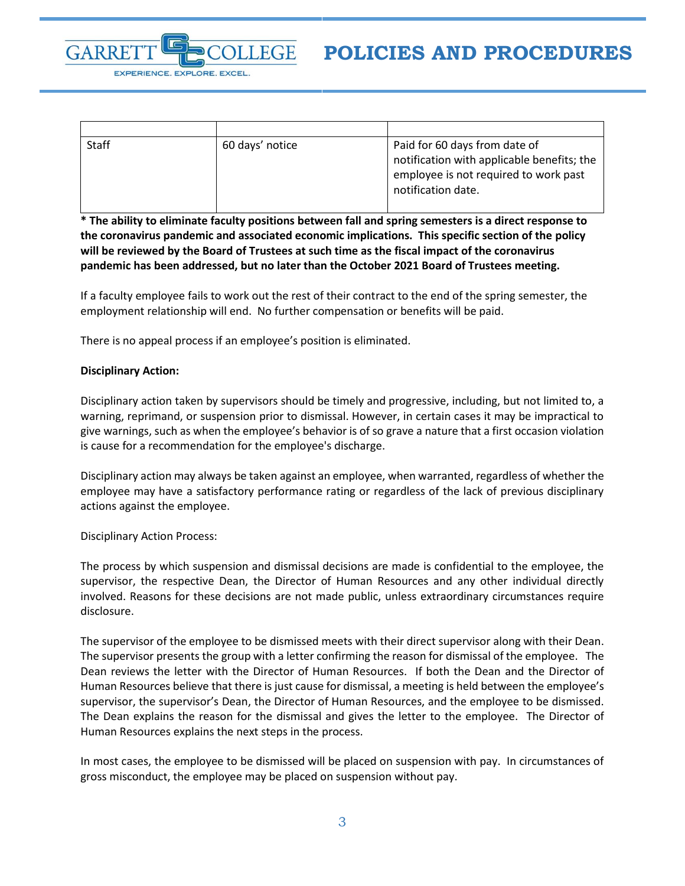

| <b>Staff</b> | 60 days' notice | Paid for 60 days from date of<br>notification with applicable benefits; the<br>employee is not required to work past<br>notification date. |
|--------------|-----------------|--------------------------------------------------------------------------------------------------------------------------------------------|
|              |                 |                                                                                                                                            |

**\* The ability to eliminate faculty positions between fall and spring semesters is a direct response to the coronavirus pandemic and associated economic implications. This specific section of the policy will be reviewed by the Board of Trustees at such time as the fiscal impact of the coronavirus pandemic has been addressed, but no later than the October 2021 Board of Trustees meeting.**

If a faculty employee fails to work out the rest of their contract to the end of the spring semester, the employment relationship will end. No further compensation or benefits will be paid.

There is no appeal process if an employee's position is eliminated.

#### **Disciplinary Action:**

Disciplinary action taken by supervisors should be timely and progressive, including, but not limited to, a warning, reprimand, or suspension prior to dismissal. However, in certain cases it may be impractical to give warnings, such as when the employee's behavior is of so grave a nature that a first occasion violation is cause for a recommendation for the employee's discharge.

Disciplinary action may always be taken against an employee, when warranted, regardless of whether the employee may have a satisfactory performance rating or regardless of the lack of previous disciplinary actions against the employee.

Disciplinary Action Process:

The process by which suspension and dismissal decisions are made is confidential to the employee, the supervisor, the respective Dean, the Director of Human Resources and any other individual directly involved. Reasons for these decisions are not made public, unless extraordinary circumstances require disclosure.

The supervisor of the employee to be dismissed meets with their direct supervisor along with their Dean. The supervisor presents the group with a letter confirming the reason for dismissal of the employee. The Dean reviews the letter with the Director of Human Resources. If both the Dean and the Director of Human Resources believe that there is just cause for dismissal, a meeting is held between the employee's supervisor, the supervisor's Dean, the Director of Human Resources, and the employee to be dismissed. The Dean explains the reason for the dismissal and gives the letter to the employee. The Director of Human Resources explains the next steps in the process.

In most cases, the employee to be dismissed will be placed on suspension with pay. In circumstances of gross misconduct, the employee may be placed on suspension without pay.